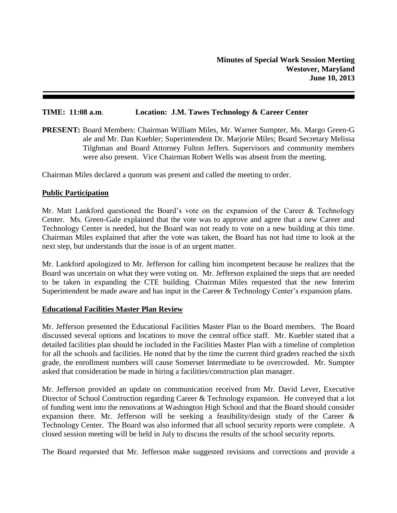## **TIME: 11:08 a.m**. **Location: J.M. Tawes Technology & Career Center**

**PRESENT:** Board Members: Chairman William Miles, Mr. Warner Sumpter, Ms. Margo Green-G ale and Mr. Dan Kuebler; Superintendent Dr. Marjorie Miles; Board Secretary Melissa Tilghman and Board Attorney Fulton Jeffers. Supervisors and community members were also present. Vice Chairman Robert Wells was absent from the meeting.

Chairman Miles declared a quorum was present and called the meeting to order.

### **Public Participation**

Mr. Matt Lankford questioned the Board's vote on the expansion of the Career  $\&$  Technology Center. Ms. Green-Gale explained that the vote was to approve and agree that a new Career and Technology Center is needed, but the Board was not ready to vote on a new building at this time. Chairman Miles explained that after the vote was taken, the Board has not had time to look at the next step, but understands that the issue is of an urgent matter.

Mr. Lankford apologized to Mr. Jefferson for calling him incompetent because he realizes that the Board was uncertain on what they were voting on. Mr. Jefferson explained the steps that are needed to be taken in expanding the CTE building. Chairman Miles requested that the new Interim Superintendent be made aware and has input in the Career & Technology Center's expansion plans.

#### **Educational Facilities Master Plan Review**

Mr. Jefferson presented the Educational Facilities Master Plan to the Board members. The Board discussed several options and locations to move the central office staff. Mr. Kuebler stated that a detailed facilities plan should be included in the Facilities Master Plan with a timeline of completion for all the schools and facilities. He noted that by the time the current third graders reached the sixth grade, the enrollment numbers will cause Somerset Intermediate to be overcrowded. Mr. Sumpter asked that consideration be made in hiring a facilities/construction plan manager.

Mr. Jefferson provided an update on communication received from Mr. David Lever, Executive Director of School Construction regarding Career & Technology expansion. He conveyed that a lot of funding went into the renovations at Washington High School and that the Board should consider expansion there. Mr. Jefferson will be seeking a feasibility/design study of the Career & Technology Center. The Board was also informed that all school security reports were complete. A closed session meeting will be held in July to discuss the results of the school security reports.

The Board requested that Mr. Jefferson make suggested revisions and corrections and provide a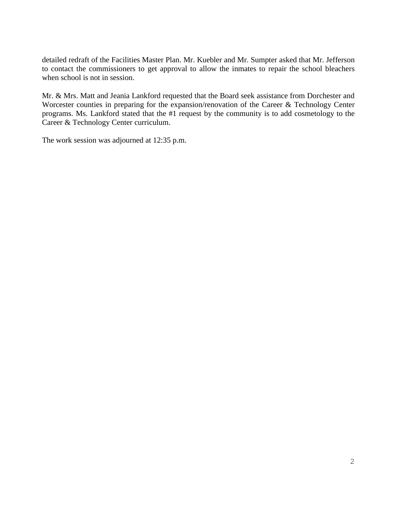detailed redraft of the Facilities Master Plan. Mr. Kuebler and Mr. Sumpter asked that Mr. Jefferson to contact the commissioners to get approval to allow the inmates to repair the school bleachers when school is not in session.

Mr. & Mrs. Matt and Jeania Lankford requested that the Board seek assistance from Dorchester and Worcester counties in preparing for the expansion/renovation of the Career & Technology Center programs. Ms. Lankford stated that the #1 request by the community is to add cosmetology to the Career & Technology Center curriculum.

The work session was adjourned at 12:35 p.m.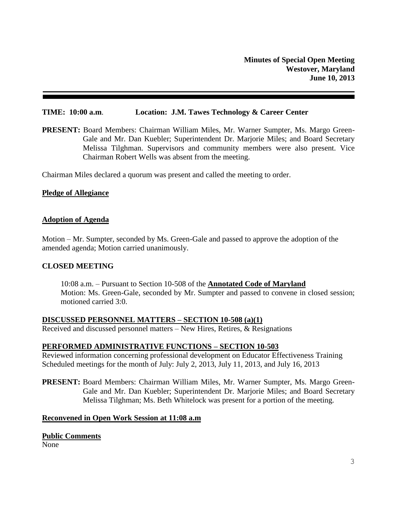### **TIME: 10:00 a.m**. **Location: J.M. Tawes Technology & Career Center**

**PRESENT:** Board Members: Chairman William Miles, Mr. Warner Sumpter, Ms. Margo Green-Gale and Mr. Dan Kuebler; Superintendent Dr. Marjorie Miles; and Board Secretary Melissa Tilghman. Supervisors and community members were also present. Vice Chairman Robert Wells was absent from the meeting.

Chairman Miles declared a quorum was present and called the meeting to order.

#### **Pledge of Allegiance**

#### **Adoption of Agenda**

Motion – Mr. Sumpter, seconded by Ms. Green-Gale and passed to approve the adoption of the amended agenda; Motion carried unanimously.

#### **CLOSED MEETING**

10:08 a.m. – Pursuant to Section 10-508 of the **Annotated Code of Maryland** Motion: Ms. Green-Gale, seconded by Mr. Sumpter and passed to convene in closed session; motioned carried 3:0.

**DISCUSSED PERSONNEL MATTERS – SECTION 10-508 (a)(1)** Received and discussed personnel matters – New Hires, Retires, & Resignations

#### **PERFORMED ADMINISTRATIVE FUNCTIONS – SECTION 10-503**

Reviewed information concerning professional development on Educator Effectiveness Training Scheduled meetings for the month of July: July 2, 2013, July 11, 2013, and July 16, 2013

**PRESENT:** Board Members: Chairman William Miles, Mr. Warner Sumpter, Ms. Margo Green-Gale and Mr. Dan Kuebler; Superintendent Dr. Marjorie Miles; and Board Secretary Melissa Tilghman; Ms. Beth Whitelock was present for a portion of the meeting.

### **Reconvened in Open Work Session at 11:08 a.m**

#### **Public Comments**

None